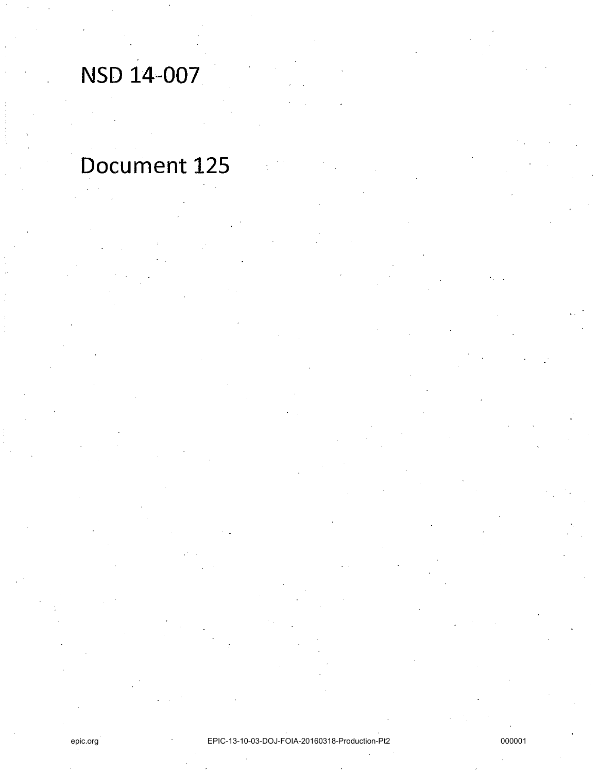# NSD 14-007

# Document 125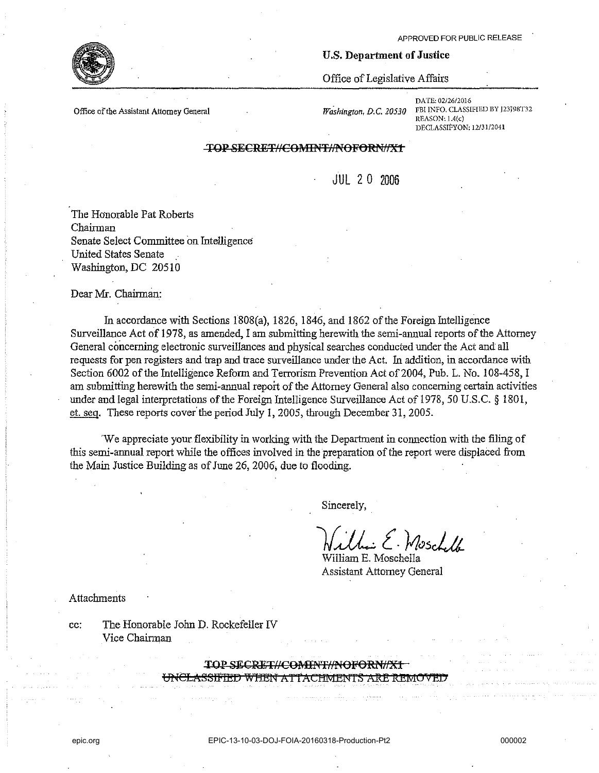#### **Office of the Assistant Attorney General**

*Washing/on. D.* C. *20530* 

U.S. Department of Justice

Office of Legislative Affairs

DATE: 02/26/2016 FBI INFO. CLASSIFIED BY J23J98T32  $REASON: 1.4(c)$ DECLASSIFYON: *12/31/2041* 

#### TOP SECRET//COMINT//NOFORN//X+

 $JIII$  2 0 2006

The Honorable Pat Roberts Chairman Senate Select Committee on Intelligence United States Senate Washington, DC 20510

Dear Mr. Chairman:

In accordance with Sections J808(a), 1826, 1846, and 1862 ofthe Foreign Intelligence Surveillance Act of 1978, as amended, I am submitting herewith the semi-annual reports of the Attorney General concerning electronic surveillances and physical searches conducted under the Act and all requests for pen registers and trap and trace surveillance under the Act. In addition, in accordance with Section 6002 of the Intelligence Reform and Terrorism Prevention Act of 2004, Pub. L. No. 108-458, I am submitting herewith the semi-annual report of the Attorney General also concerning certain activities under and legal interpretations of the Foreign Intelligence Surveillance Act of 1978, 50 U.S.C. § 1801, et. seq. These reports cover the period July 1, 2005, through December 31, 2005.

'We appreciate your flexibility in working with the Department in connection with the filing of this semi-annual report while the offices involved in the preparation of the report were displaced from the Main Justice Building as of June 26, 2006; due to flooding.

Sincerely,

)(.JJ.:. *t.* V/c;scLa-William E. Moschella

Assistant Attorney General

**Attachments** 

cc: The Honorable John D. Rockefeller IV Vice Chairman

TOP SECRET#COMINT#NOFORN#X1

USSIFIED WHEN AT FACHMENTS ARE REMOV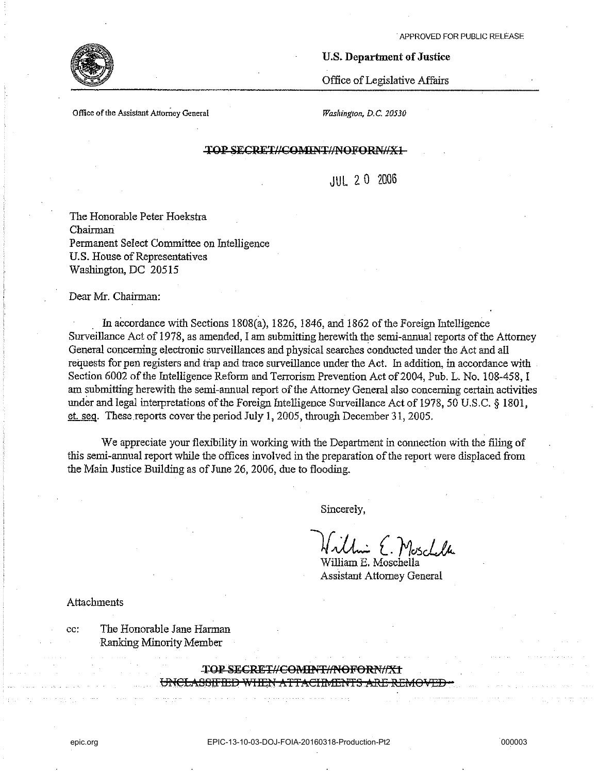

### U.S. Department of Justice

Office of Legislative Affairs

**Office** of the **Assistant Attorney General** *Washington, D.C. 20530* 

# TOP SECRET//COMINT//NOFORN//X1-

JUL 20 2006

The Honorable Peter Hoekstra Chairman Permanent Select Committee on Intelligence U.S. House of Representatives Washington, DC 20515

#### Dear Mr. Chairman:

In accordance with Sections IS0S(a), 1826, 1846, and 1862 of the Foreign Intelligence Surveillance Act of 1978, as amended, I am submitting herewith the semi-annual reports of the Attorney General concerning electronic surveillances and physical searches conducted under the Act and all requests for pen registers and trap and trace surveillance under the Act. In addition, in accordance with Section 6002 of the Intelligence Reform and Terrorism Prevention Act of 2004, Pub. L. No. 108-458, I am submitting herewith the semi-annual report of the Attorney General also concerning certain activities under and legal interpretations of the Foreign Intelligence Surveillance Act of 1978, 50 U.S.C. § 1801, et. seg. These reports cover the period July 1, 2005, through December 31, 2005.

We appreciate your flexibility in working with the Department in connection with the filing of this semi-annual report while the offices involved in the preparation of the report were displaced from the Main Justice Building as of June 26, 2006, due to flooding.

Sincerely,

*}f* ~ (. *Mc;sc1J;..*  William E. Moschella

Assistant Attorney General

Attachments

cc: The Honorable Jane Harman Ranking Minority Member

> TOP SECRET//COMENT//NOFORN//X1 UNCLASSIFIED WHEN ATTACIMENTS ARE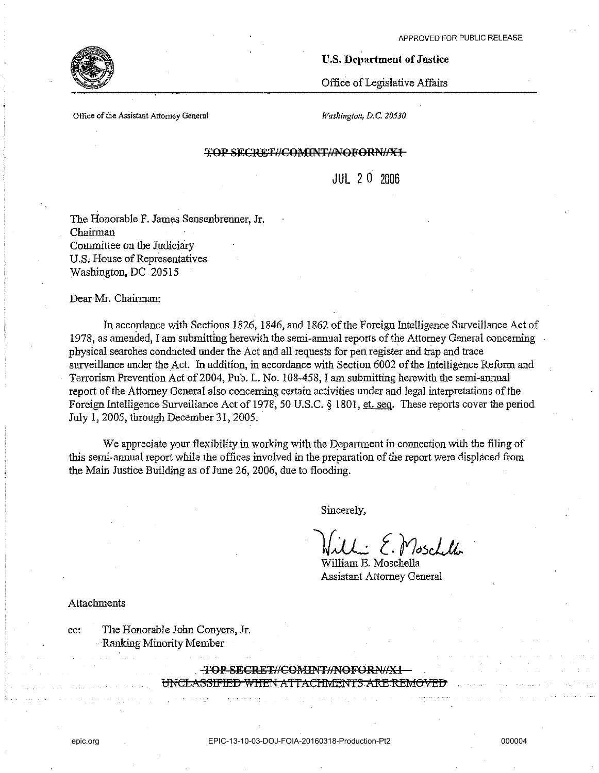#### U.S. Department of Justice

Office of Legislative Affairs

**Office** of the **Assistant Attorney General** 

*Washington, D.C. 20530* 

#### TOP SECRET#COMINT#NOFORN#X1

JUL 2 0 2006

The Honorable F. James Sensenbrenner, Jr. Chairman Committee on the Judiciary U.S. House of Representatives Washington, DC 20515

Dear Mr. Chairman:

In accordance with Sections 1826, 1846, and 1862 of the Foreign Intelligence Surveillance Act of 1978, as amended, I am submitting herewith the semi-annual reports of the Attorney General concerning physical searches conducted under the Act and all requests for pen register and trap and trace surveillance under the Act. In addition, in accordance with Section 6002 of the Intelligence Reform and Terrorism Prevention Act of 2004, Pub. L. No. 108-458, I am submitting herewith the semi-annual report of the Attorney General also concerning certain activities under and legal interpretations of the Foreign Intelligence Surveillance Act of 1978, 50 U.S.C. § 1801, et. seq. These reports cover the period July 1, 2005, through December 31, 2005.

We appreciate your flexibility in working with the Department in connection with the filing of this semi-annual report while the offices involved in the preparation of the report were displaced from the Main Justice Building as of June 26, 2006, due to flooding.

Sincerely,

")[-JL [. *f7o;;JJk.* 

William E. Moschella Assistant Attorney General

Attachments

cc: The Honorable John Conyers, Jr. Ranking Minority Member

TOP SECRET//COMINT//NOFORN/

UNCLASSIFIED WHEN ATTACHMENTS ARE R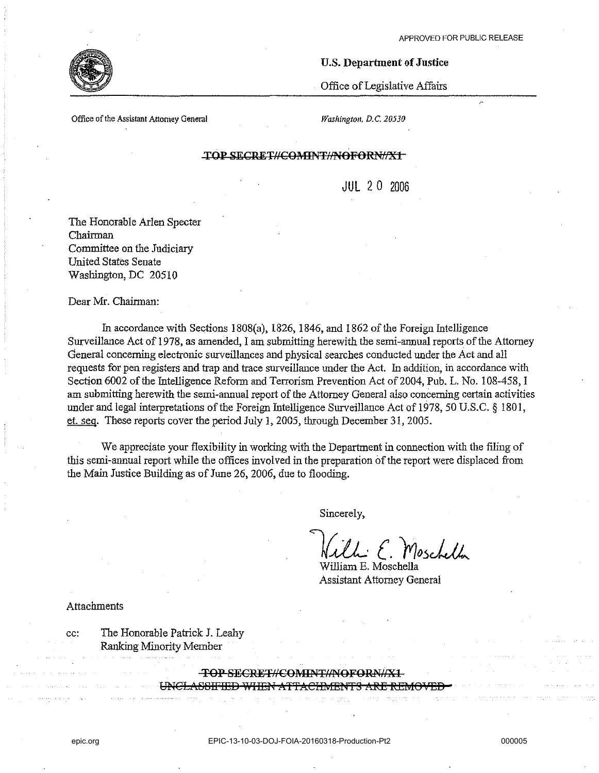# U.S. Department **of** Justice

Office of Legislative Affairs

**Office** of the **Assistant Attorney General** *Washingtoll, D.C. 20530* 

# **TOP SECRET//COMINT//NOFORN//X1-**

JUL 20 2006

The Honorable Arlen Specter Chairman Committee on the Judiciary United States Senate Washington, DC 20510

Dear Mr. Chairman:

In accordance with Sections 1808(a), 1826, 1846, and 1862 of the Foreign Intelligence Surveillance Act of 1978, as amended, I am submitting herewith the semi-annual reports of the Attorney General concerning electronic surveillances and physical searches conducted under the Act and all requests for pen registers and trap and trace surveillance under the Act. In addition, in accordance with Section 6002 of the Intelligence Reform and Terrorism Prevention Act of 2004, Pub. L. No. 108-458, I am submitting herewith the semi-annual report of the Attorney General also concerning certain activities under and legal interpretations of the Foreign Intelligence Surveillance Act of 1978,50 U.S.C. § 1801, et. seq, These reports cover the period July 1, 2005, through December 31, 2005.

We appreciate your flexibility in working with the Department in connection with the filing of this semi-annual report while the offices involved in the preparation of the report were displaced from the Main Justice Building as of June 26, 2006, due to flooding.

Sincerely,

Uni E. Moschella

William E. Moschella Assistant Attorney General

Attachments

cc: The Honorable Patrick J, Leahy Ranking Minority Member

**TOP SECRET#COMINT#NOFORN#X1**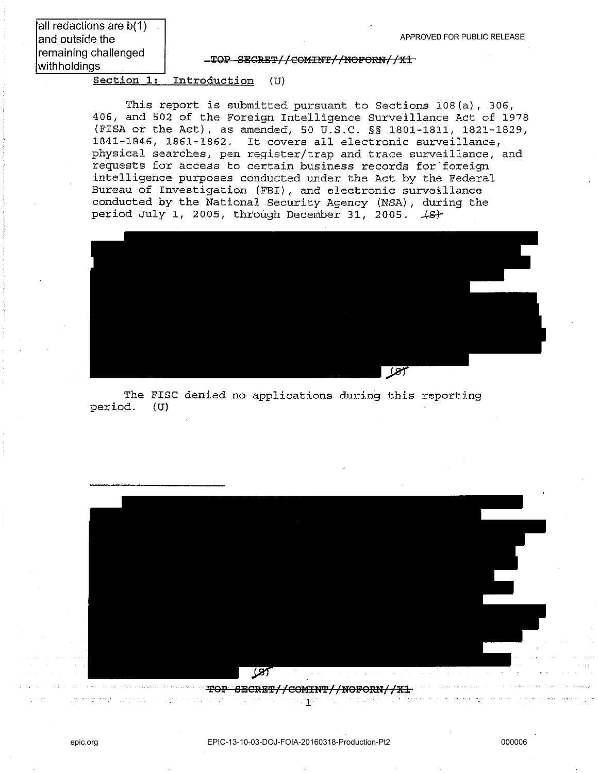all redactions are b(1) and outside the remaining challenged withholdings

TOP SECRET//COMINT//NOFORN//X1

Section 1: Introduction (U)

This report is submitted pursuant to Sections 108(a), 306, 406, and 502 of the Foreign Intelligence Surveillance Act of 1978 (FISA or the Act), as amended, 50 U.S.C. §§ 1801-1811, 1821-1829, 1841-1846, 1861-1862. It covers all electronic surveillance, physical searches, pen register/trap and trace surveillance, and requests for access to certain business records for foreign intelligence purposes conducted under the Act by the Federal Bureau of Investigation (FBI), and electronic surveillance conducted by the National Security Agency (NSA) , during the period July 1, 2005, through December 31, 2005.  $\{B\}$ 



The FISC denied no applications during this reporting<br>od. (U) period.



TOP SECRET//COMINT//NOFORN//X1  $\alpha$  ,  $\beta$  ,  $\alpha$  ,  $\alpha$ 

11114177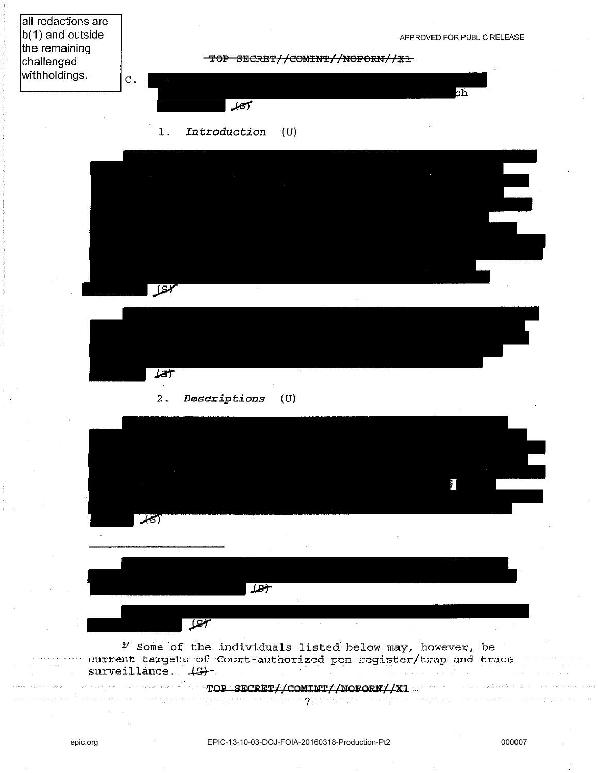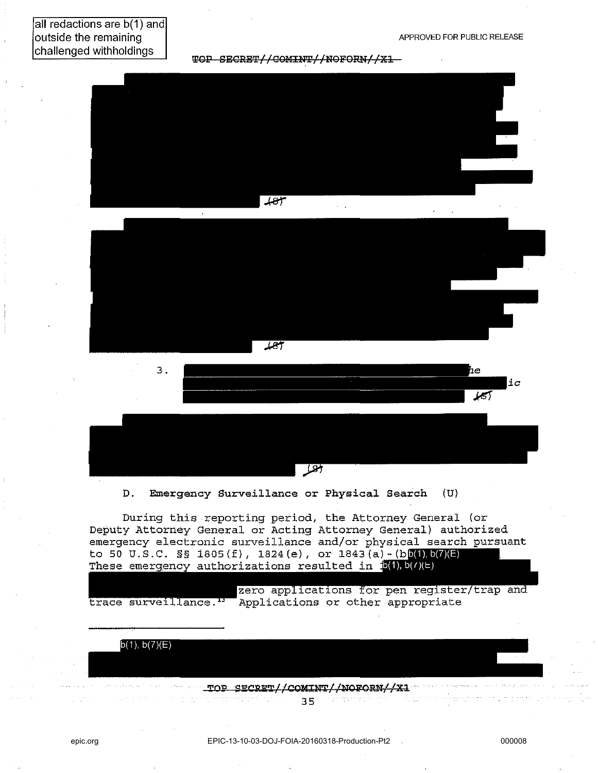TOP SECRET//COMINT//NOFORN//X1







D. Emergency Surveillance or Physical Search (U)

During this reporting period, the Attorney General (or Deputy Attorney General or Acting Attorney General) authorized emergency electronic surveillance and/or physical search pursuant to 50 U.S.C. §§ 1805(f), 1824(e), or  $1843(a) - (b)(1), b(7)(E)$ These emergency authorizations resulted in  $\mathbf{5(1), b(7)(E)}$ 

zero applications for pen register/trap and trace surveillance.<sup>13</sup> Applications or other appropriate

> **-XOI?** SB:CRB:-X//COM:tm//NOFoml//Xl 35

المتمد بالمراجع

 $b(1), b(7)(E)$ 

 $\alpha$  , and a second masses of the  $\alpha$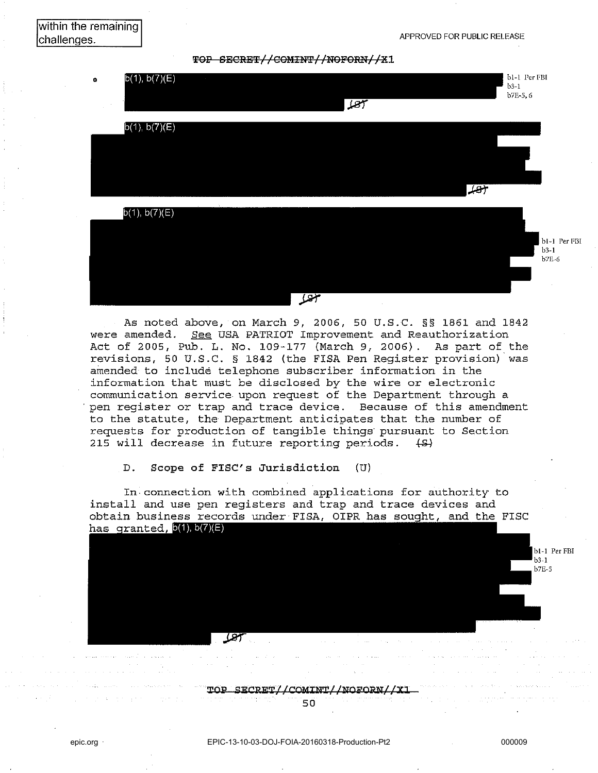TOP SECRET//COMINT//NOFORN//X1



As noted above, on March 9, 2006, 50 U.S.C. §§ 1861 and 1842 were amended. See USA PATRIOT Improvement and Reauthorization Act of 2005, Pub. L. No. 109-177 (March 9, 2006). As part of the revisions, 50 U.S.C. § 1842 (the FISA Pen Register provision) 'was amended to include telephone subscriber information in the information that must be disclosed by the wire or electronic communication service upon request of the Department through a , pen register or trap and trace device. Because of this amendment to the statute, the Department anticipates that the number of requests for production of tangible things' pursuant to Section 215 will decrease in future reporting periods.  $(5)$ 

D. Scope of FISC's Jurisdiction (U)

In, connection with combined applications for authority to install and use pen registers and trap and trace devices and obtain business records under FISA, OIPR has sought, and the FISC<br>has granted,  $\frac{6(1)}{10(1)}$ 

> TOP SECRET//COMINT//NOFORN//X1 50

b1-1 Per FBI  $b3-1$  $b7E-5$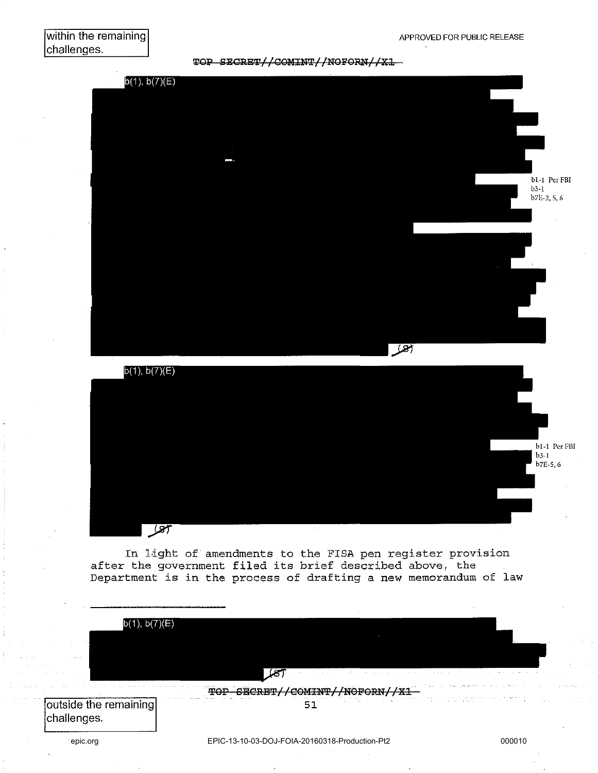# within the remaining challenges.

TOP SECRET//COMINT//NOFORN//X1





In light of amendments to the FISA pen register provision after the government filed its brief described above, the Department is in the process of drafting a new memorandum of law

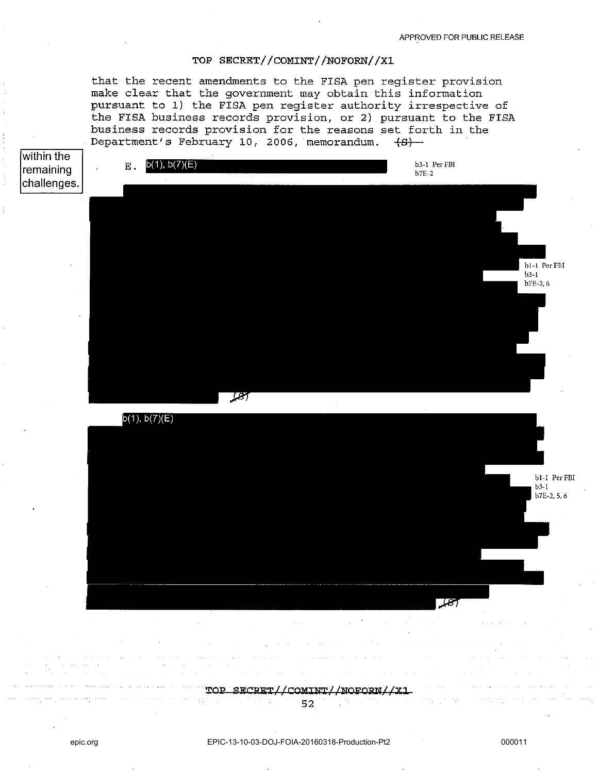## TOP SECRET//COMINT//NOFORN//X1

that the recent amendments to the FISA pen register provision make clear that the government may obtain this information pursuant to 1) the FISA pen register authority irrespective of the FISA business records provision, or 2) pursuant to the FISA business records provision for the reasons set forth in the Department's February 10, 2006, memorandum.  $\{B\}$ 



**'I'OI' SlilCRlil'I'//COMlm//NOlfORN//XJ.**  52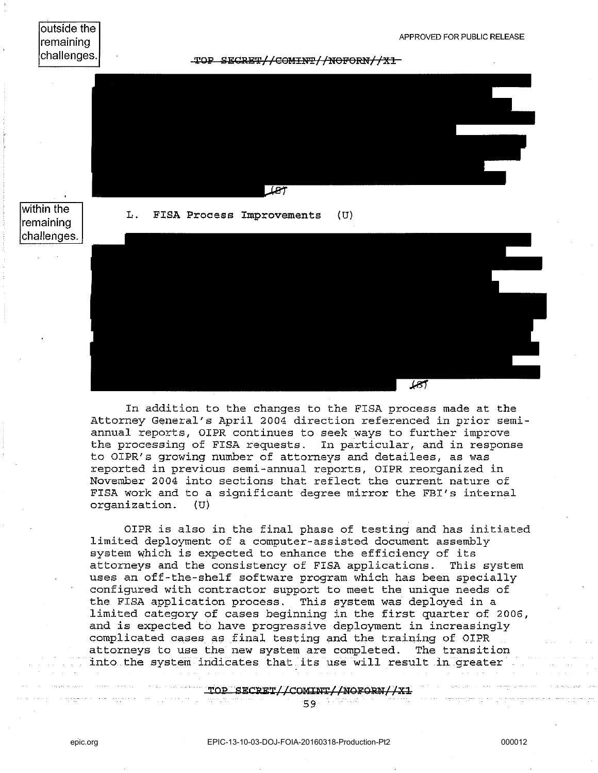outside the remaining challenges. TOP SEGRET//COMINT//NOFORN//X1-

within the remaining <u>্রদ</u>

# L. FISA Process Improvements (U)



In addition to the changes to the FISA process made at the Attorney General's April 2004 direction referenced in prior semiannual reports, OIPR continues to seek ways to further improve the processing of FISA requests. In particular, and in response to OIPR's growing number of attorneys and detailees, as was reported in previous semi-annual reports, OIPR reorganized in November 2004 into sections that reflect the current nature of FISA work and to a significant degree mirror the FBI's internal organization. (U)

OIPR is also in the final phase of testing and has initiated limited deployment of a computer-assisted document assembly system which is expected to enhance the efficiency of its attorneys and the consistency of FISA applications. This system uses an off-the-shelf software program which has been specially configured with contractor support to meet the unique needs of the FISA application process. This system was deployed in a limited category of cases beginning in the first quarter of 2006, and is expected to have progressive deployment in increasingly complicated cases as final testing and the training of OIPR attorneys to use the new system are completed. The transition into the system indicates that its use will result in greater

TOP SECRET//COMINT//NOFORN//X1

59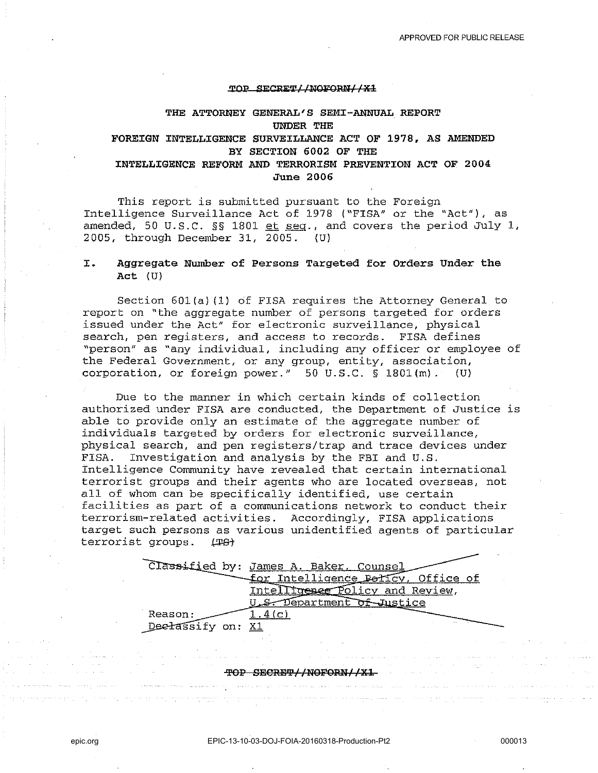#### TOP SECRET*LINGFORNIIX1*

# **THE ATTORNEY GENERAL'S SEMI-ANNUAL REPORT UNDER THE FOREIGN INTELLIGENCE SURVEILLANCE ACT OF 1978, AS AMENDED BY SECTION 6002 OF THE**

# **INTELLIGENCE REFORM AND TERRORISM PREVENTION ACT OF 2004 June 2006**

This report is submitted pursuant to the Foreign Intelligence Surveillance Act of 1978 ("FISA" or the "Act"), as amended, 50 U.S.C. §§ 1801 et seg., and covers the period July 1, 2005, through December 31, 2005. (U)

## **I. Aggregate Number of Persons Targeted for Orders Under the Act** (U)

Section 601(a) (1) of FISA requires the Attorney General to report on "the aggregate number of persons targeted for orders issued under the Act" for electronic surveillance, physical search, pen registers, and access to records. FISA defines "person" as "any individual, including any officer or employee of the Federal Government, or any group, entity, association, corporation, or foreign power."  $50 \text{ U.S.C. }$   $\S$  1801(m). (U)

Due to the manner in which certain kinds of collection authorized under FISA are conducted, the Department of Justice is able to provide only an estimate of the aggregate number of individuals targeted by orders for electronic surveillance, physical search, and pen registers/trap and trace devices under FISA. Investigation and analysis by the FBI and U.S. Intelligence Community have revealed that certain international terrorist groups and their agents who are located overseas, not all of whom can be specifically identified, use certain facilities as part of a communications network to conduct their terrorism-related activities. Accordingly, FISA applications target such persons as various unidentified agents of particular<br>terrorist groups.  $\sqrt{40}$ 



#### ~OP SEe:R'l3~/lNOFQRN//X1.

والمتحاج والمستحير والمتحدث والمستحدث السواحي والمتعودة

a dalam

and a series of the company of the company of the series of the series of the series of the series of the series

and the state of the state of the state of the state of the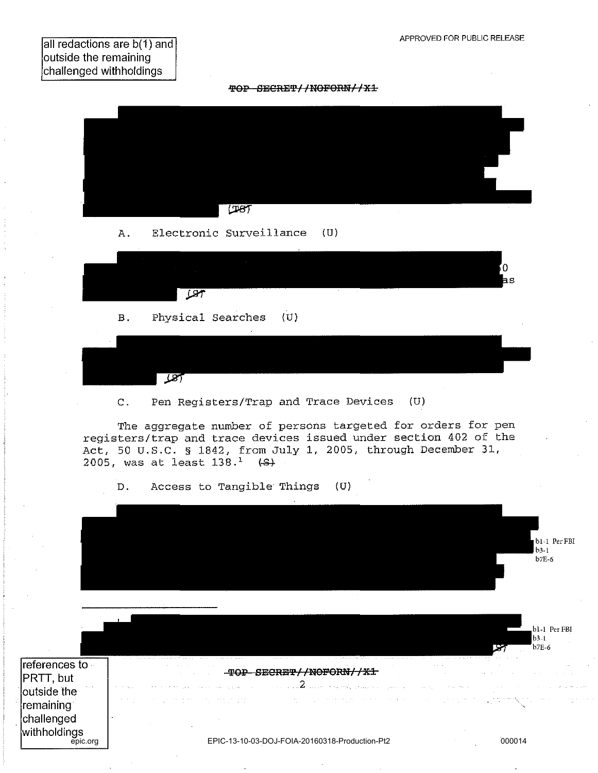all redactions are b(1) and outside the remaining challenged withholdings





C. Pen Registers/Trap and Trace Devices (D)

The aggregate number of persons targeted for orders for pen registers/trap and trace devices issued under section 402 of the Act, 50 U.S.C. § 1842, from July 1, 2005, through December 31, 2005, was at least  $138.^1$  (S)

D. Access to Tangible Things (U)

|                                             |        |                                                |  |                           | bl-1 Per FBI<br>$b3-1$             |
|---------------------------------------------|--------|------------------------------------------------|--|---------------------------|------------------------------------|
|                                             |        |                                                |  |                           | b7E-6                              |
|                                             |        |                                                |  |                           | b1-1 Per FBI<br>$b3-1$<br>$b$ 7E-6 |
| references to -<br>PRTT, but<br>outside the | 55 Q D |                                                |  |                           |                                    |
| remaining<br>challenged<br>withholdings     |        |                                                |  | $\chi_1^{\rm (1000,100)}$ |                                    |
| epic.org                                    |        | EPIC-13-10-03-DOJ-FOIA-20160318-Production-Pt2 |  | 000014                    |                                    |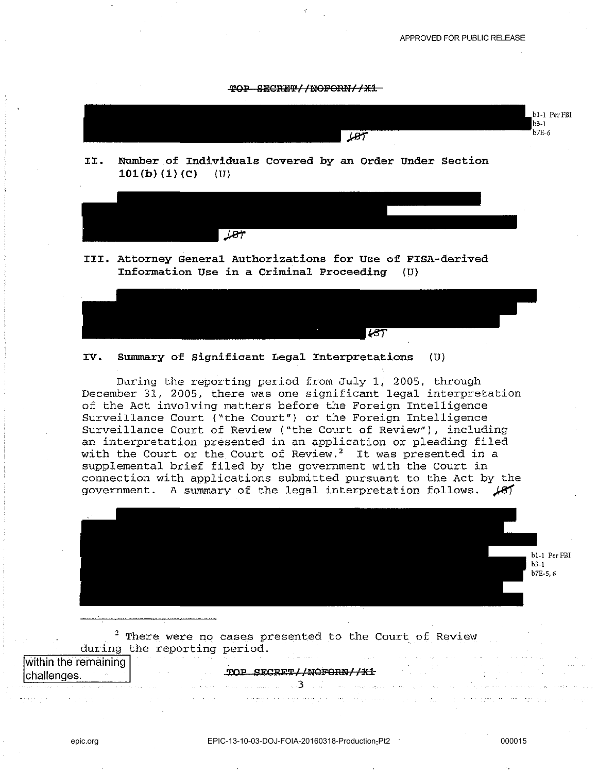



**III. Attorney General Authorizations for Use of FISA-derived Information Use in a criminal Proceeding** (U)



# **IV. Summary of Significant Legal Interpretations** (U)

During the reporting period from July 1, 2005, through December 31, 2005, there was one significant legal interpretation of the Act involving matters before the Foreign Intelligence Surveillance Court ("the Court") or the Foreign Intelligence Surveillance Court of Review ("the Court of Review"), including an interpretation presented in an application or pleading filed with the Court or the Court of Review.<sup>2</sup> It was presented in a supplemental brief filed by the government with the Court in connection with applications submitted pursuant to the Act by the government. A summary of the legal interpretation follows.  $\cancel{81}$ 



 $2$  There were no cases presented to the Court of Review during the reporting period.

| within the remaining                                                                                                         |                               |          | The second control of the second control of the second control of the second control of the second control of the second control of the second control of the second control of the second control of the second control of th |                        | and the company of the company of the company of the company of the company of the company of the company of the<br>the control of the control of the control of the control of the control of the control of the control of the control of the control of the control of the control of the control of the control of the control of the control |
|------------------------------------------------------------------------------------------------------------------------------|-------------------------------|----------|--------------------------------------------------------------------------------------------------------------------------------------------------------------------------------------------------------------------------------|------------------------|---------------------------------------------------------------------------------------------------------------------------------------------------------------------------------------------------------------------------------------------------------------------------------------------------------------------------------------------------|
|                                                                                                                              |                               |          |                                                                                                                                                                                                                                |                        | the control of the state                                                                                                                                                                                                                                                                                                                          |
|                                                                                                                              | the company of the company of | $\cdots$ | TOP SECRET//NOFORN//X1                                                                                                                                                                                                         | <b>Carl Carl Corp.</b> | the control of the control of the control of the control of the control of the control of the control of the control of the control of the control of the control of the control of the control of the control of the control                                                                                                                     |
|                                                                                                                              |                               |          |                                                                                                                                                                                                                                |                        |                                                                                                                                                                                                                                                                                                                                                   |
| <del>on naips is a called per</del> iod of the season and in and it of the company and in the season of the man company with |                               |          |                                                                                                                                                                                                                                |                        |                                                                                                                                                                                                                                                                                                                                                   |
|                                                                                                                              |                               |          |                                                                                                                                                                                                                                |                        |                                                                                                                                                                                                                                                                                                                                                   |
|                                                                                                                              |                               |          |                                                                                                                                                                                                                                |                        | the contract of the contract of the contract of the community of the community of the contract of the community of the contract of the contract of the contract of the contract of the contract of the contract of the contrac                                                                                                                    |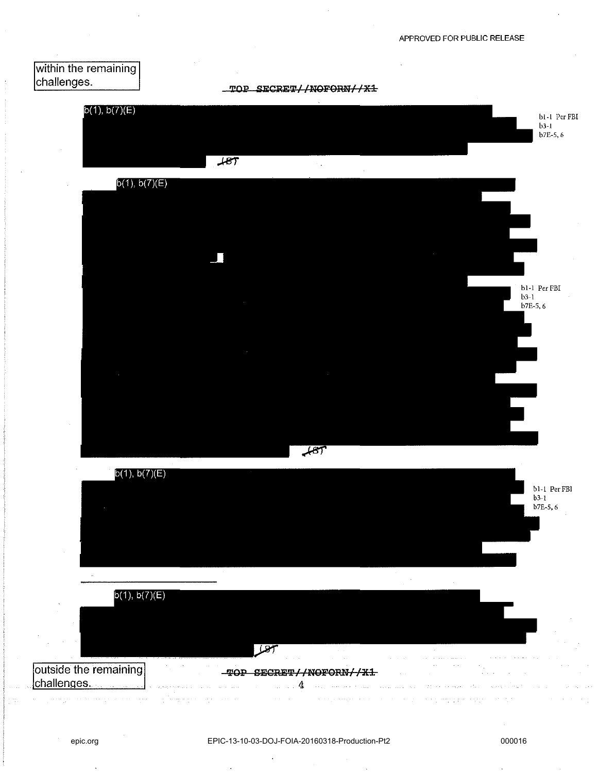

TOP SECRET//NOFORN//X1